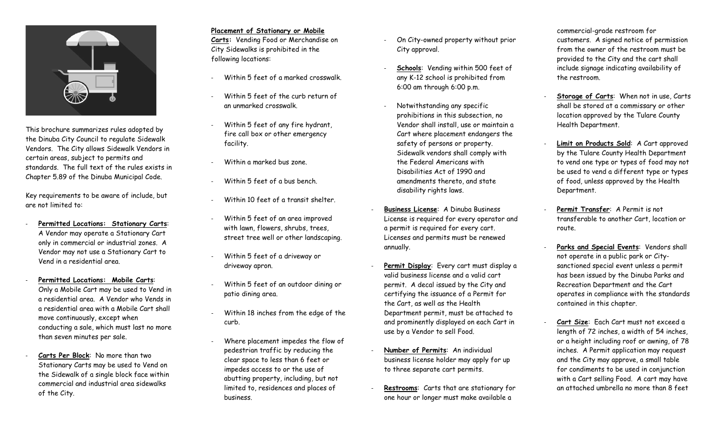

This brochure summarizes rules adopted by the Dinuba City Council to regulate Sidewalk Vendors. The City allows Sidewalk Vendors in certain areas, subject to permits and standards. The full text of the rules exists in Chapter 5.89 of the Dinuba Municipal Code.

Key requirements to be aware of include, but are not limited to:

- **Permitted Locations: Stationary Carts**: A Vendor may operate a Stationary Cart only in commercial or industrial zones. A Vendor may not use a Stationary Cart to Vend in a residential area.
- **Permitted Locations: Mobile Carts**: Only a Mobile Cart may be used to Vend in a residential area. A Vendor who Vends in a residential area with a Mobile Cart shall move continuously, except when conducting a sale, which must last no more than seven minutes per sale.
- Carts Per Block: No more than two Stationary Carts may be used to Vend on the Sidewalk of a single block face within commercial and industrial area sidewalks of the City.

### **Placement of Stationary or Mobile**

**Carts:** Vending Food or Merchandise on City Sidewalks is prohibited in the following locations:

- Within 5 feet of a marked crosswalk.
- Within 5 feet of the curb return of an unmarked crosswalk.
- Within 5 feet of any fire hydrant, fire call box or other emergency facility.
- Within a marked bus zone.
- Within 5 feet of a bus bench.
- Within 10 feet of a transit shelter.
- Within 5 feet of an area improved with lawn, flowers, shrubs, trees, street tree well or other landscaping.
- Within 5 feet of a driveway or driveway apron.
- Within 5 feet of an outdoor dining or patio dining area.
- Within 18 inches from the edge of the curb.
- Where placement impedes the flow of pedestrian traffic by reducing the clear space to less than 6 feet or impedes access to or the use of abutting property, including, but not limited to, residences and places of business.
- On City-owned property without prior City approval.
- **Schools:** Vending within 500 feet of any K-12 school is prohibited from 6:00 am through 6:00 p.m.
- Notwithstanding any specific prohibitions in this subsection, no Vendor shall install, use or maintain a Cart where placement endangers the safety of persons or property. Sidewalk vendors shall comply with the Federal Americans with Disabilities Act of 1990 and amendments thereto, and state disability rights laws.
- **Business License**: A Dinuba Business License is required for every operator and a permit is required for every cart. Licenses and permits must be renewed annually.
- Permit Display: Every cart must display a valid business license and a valid cart permit. A decal issued by the City and certifying the issuance of a Permit for the Cart, as well as the Health Department permit, must be attached to and prominently displayed on each Cart in use by a Vendor to sell Food.
- **Number of Permits**: An individual business license holder may apply for up to three separate cart permits.
- **Restrooms**: Carts that are stationary for one hour or longer must make available a

commercial-grade restroom for customers. A signed notice of permission from the owner of the restroom must be provided to the City and the cart shall include signage indicating availability of the restroom.

- **Storage of Carts**: When not in use, Carts shall be stored at a commissary or other location approved by the Tulare County Health Department.
- Limit on Products Sold: A Cart approved by the Tulare County Health Department to vend one type or types of food may not be used to vend a different type or types of food, unless approved by the Health Department.
- Permit Transfer: A Permit is not transferable to another Cart, location or route.
- **Parks and Special Events**: Vendors shall not operate in a public park or Citysanctioned special event unless a permit has been issued by the Dinuba Parks and Recreation Department and the Cart operates in compliance with the standards contained in this chapter.
- Cart Size: Each Cart must not exceed a length of 72 inches, a width of 54 inches, or a height including roof or awning, of 78 inches. A Permit application may request and the City may approve, a small table for condiments to be used in conjunction with a Cart selling Food. A cart may have an attached umbrella no more than 8 feet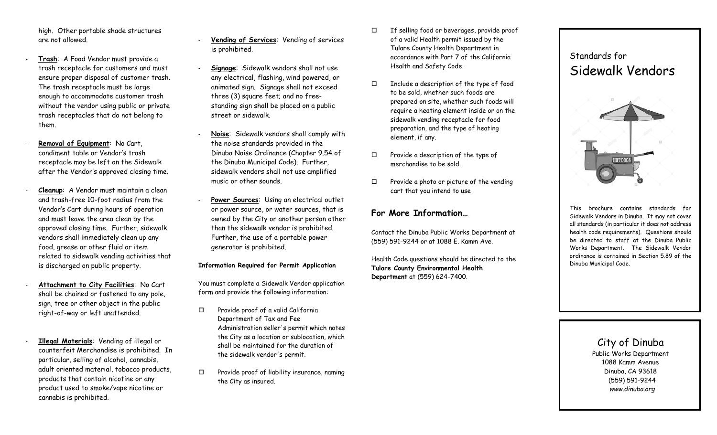high. Other portable shade structures are not allowed.

- **Trash**: A Food Vendor must provide a trash receptacle for customers and must ensure proper disposal of customer trash. The trash receptacle must be large enough to accommodate customer trash without the vendor using public or private trash receptacles that do not belong to them.
- **Removal of Equipment**: No Cart, condiment table or Vendor's trash receptacle may be left on the Sidewalk after the Vendor's approved closing time.
- **Cleanup**: A Vendor must maintain a clean and trash-free 10-foot radius from the Vendor's Cart during hours of operation and must leave the area clean by the approved closing time. Further, sidewalk vendors shall immediately clean up any food, grease or other fluid or item related to sidewalk vending activities that is discharged on public property.
- Attachment to City Facilities: No Cart shall be chained or fastened to any pole, sign, tree or other object in the public right-of-way or left unattended.
- **Illegal Materials**: Vending of illegal or counterfeit Merchandise is prohibited. In particular, selling of alcohol, cannabis, adult oriented material, tobacco products, products that contain nicotine or any product used to smoke/vape nicotine or cannabis is prohibited.
- **Vending of Services**: Vending of services is prohibited.
- **Signage**: Sidewalk vendors shall not use any electrical, flashing, wind powered, or animated sign. Signage shall not exceed three (3) square feet; and no freestanding sign shall be placed on a public street or sidewalk.
- **Noise**: Sidewalk vendors shall comply with the noise standards provided in the Dinuba Noise Ordinance (Chapter 9.54 of the Dinuba Municipal Code). Further, sidewalk vendors shall not use amplified music or other sounds.
- Power Sources: Using an electrical outlet or power source, or water sources, that is owned by the City or another person other than the sidewalk vendor is prohibited. Further, the use of a portable power generator is prohibited.

#### **Information Required for Permit Application**

You must complete a Sidewalk Vendor application form and provide the following information:

- $\Box$  Provide proof of a valid California Department of Tax and Fee Administration seller's permit which notes the City as a location or sublocation, which shall be maintained for the duration of the sidewalk vendor's permit.
- $\square$  Provide proof of liability insurance, naming the City as insured.
- $\Box$  If selling food or beverages, provide proof of a valid Health permit issued by the Tulare County Health Department in accordance with Part 7 of the California Health and Safety Code.
- Include a description of the type of food to be sold, whether such foods are prepared on site, whether such foods will require a heating element inside or on the sidewalk vending receptacle for food preparation, and the type of heating element, if any.
- $\square$  Provide a description of the type of merchandise to be sold.
- $\Box$  Provide a photo or picture of the vending cart that you intend to use

## **For More Information…**

Contact the Dinuba Public Works Department at (559) 591-9244 or at 1088 E. Kamm Ave.

Health Code questions should be directed to the **Tulare County Environmental Health Department** at (559) 624-7400.

# Standards for Sidewalk Vendors



This brochure contains standards Sidewalk Vendors in Dinuba. It may not cover all standards (in particular it does not address health code requirements). Questions should be directed to staff at the Dinuba Public Works Department. The Sidewalk Vendor ordinance is contained in Section 5.89 of the Dinuba Municipal Code.

> City of Dinuba Public Works Department 1088 Kamm Avenue Dinuba, CA 93618 (559) 591-9244

> > *www.dinuba.org*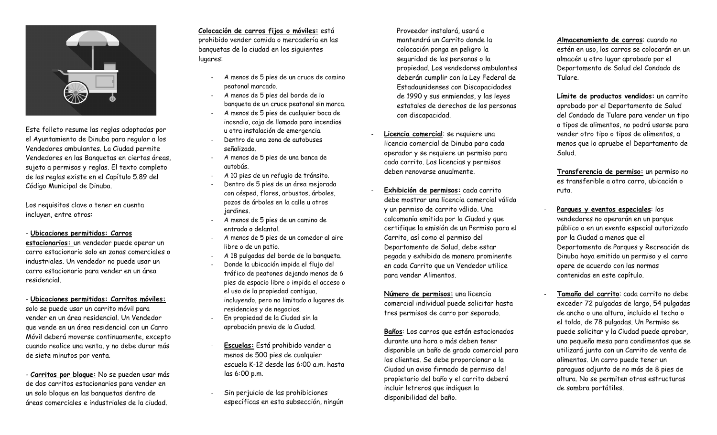

Este folleto resume las reglas adoptadas por el Ayuntamiento de Dinuba para regular a los Vendedores ambulantes. La Ciudad permite Vendedores en las Banquetas en ciertas áreas, sujeto a permisos y reglas. El texto completo de las reglas existe en el Capítulo 5.89 del Código Municipal de Dinuba.

Los requisitos clave a tener en cuenta incluyen, entre otros:

- **Ubicaciones permitidas: Carros** 

**estacionarios:** un vendedor puede operar un carro estacionario solo en zonas comerciales o industriales. Un vendedor no puede usar un carro estacionario para vender en un área residencial.

- **Ubicaciones permitidas: Carritos móviles:** solo se puede usar un carrito móvil para vender en un área residencial. Un Vendedor que vende en un área residencial con un Carro Móvil deberá moverse continuamente, excepto cuando realice una venta, y no debe durar más de siete minutos por venta.

- **Carritos por bloque:** No se pueden usar más de dos carritos estacionarios para vender en un solo bloque en las banquetas dentro de áreas comerciales e industriales de la ciudad.

**Colocación de carros fijos o móviles:** está prohibido vender comida o mercadería en las banquetas de la ciudad en los siguientes lugares:

- A menos de 5 pies de un cruce de camino peatonal marcado.
- A menos de 5 pies del borde de la banqueta de un cruce peatonal sin marca.
- A menos de 5 pies de cualquier boca de incendio, caja de llamada para incendios u otra instalación de emergencia.
- Dentro de una zona de autobuses señalizada.
- A menos de 5 pies de una banca de autobús.
- A 10 pies de un refugio de tránsito.
- Dentro de 5 pies de un área mejorada con césped, flores, arbustos, árboles, pozos de árboles en la calle u otros jardines.
- A menos de 5 pies de un camino de entrada o delantal.
- A menos de 5 pies de un comedor al aire libre o de un patio.
- A 18 pulgadas del borde de la banqueta. - Donde la ubicación impida el flujo del tráfico de peatones dejando menos de 6 pies de espacio libre o impida el acceso o el uso de la propiedad contigua, incluyendo, pero no limitado a lugares de residencias y de negocios.
- En propiedad de la Ciudad sin la aprobación previa de la Ciudad.
- **Escuelas:** Está prohibido vender a menos de 500 pies de cualquier escuela K-12 desde las 6:00 a.m. hasta las 6:00 p.m.
- Sin per juicio de las prohibiciones específicas en esta subsección, ningún

Proveedor instalará, usará o mantendrá un Carrito donde la colocación ponga en peligro la seguridad de las personas o la propiedad. Los vendedores ambulantes deberán cumplir con la Ley Federal de Estadounidenses con Discapacidades de 1990 y sus enmiendas, y las leyes estatales de derechos de las personas con discapacidad.

- **Licencia comercial**: se requiere una licencia comercial de Dinuba para cada operador y se requiere un permiso para cada carrito. Las licencias y permisos deben renovarse anualmente.
- **Exhibición de permisos:** cada carrito debe mostrar una licencia comercial válida y un permiso de carrito válido. Una calcomanía emitida por la Ciudad y que certifique la emisión de un Permiso para el Carrito, así como el permiso del Departamento de Salud, debe estar pegada y exhibida de manera prominente en cada Carrito que un Vendedor utilice para vender Alimentos.

**Número de permisos:** una licencia comercial individual puede solicitar hasta tres permisos de carro por separado.

**Baños**: Los carros que están estacionados durante una hora o más deben tener disponible un baño de grado comercial para los clientes. Se debe proporcionar a la Ciudad un aviso firmado de permiso del propietario del baño y el carrito deberá incluir letreros que indiquen la disponibilidad del baño.

**Almacenamiento de carros**: cuando no estén en uso, los carros se colocarán en un almacén u otro lugar aprobado por el Departamento de Salud del Condado de Tulare.

**Límite de productos vendidos:** un carrito aprobado por el Departamento de Salud del Condado de Tulare para vender un tipo o tipos de alimentos, no podrá usarse para vender otro tipo o tipos de alimentos, a menos que lo apruebe el Departamento de Salud.

**Transferencia de permiso:** un permiso no es transferible a otro carro, ubicación o ruta.

- **Parques y eventos especiales**: los vendedores no operarán en un parque público o en un evento especial autorizado por la Ciudad a menos que el Departamento de Parques y Recreación de Dinuba haya emitido un permiso y el carro opere de acuerdo con las normas contenidas en este capítulo.
- **Tamaño del carrito**: cada carrito no debe exceder 72 pulgadas de largo, 54 pulgadas de ancho o una altura, incluido el techo o el toldo, de 78 pulgadas. Un Permiso se puede solicitar y la Ciudad puede aprobar, una pequeña mesa para condimentos que se utilizará junto con un Carrito de venta de alimentos. Un carro puede tener un paraguas adjunto de no más de 8 pies de altura. No se permiten otras estructuras de sombra portátiles.